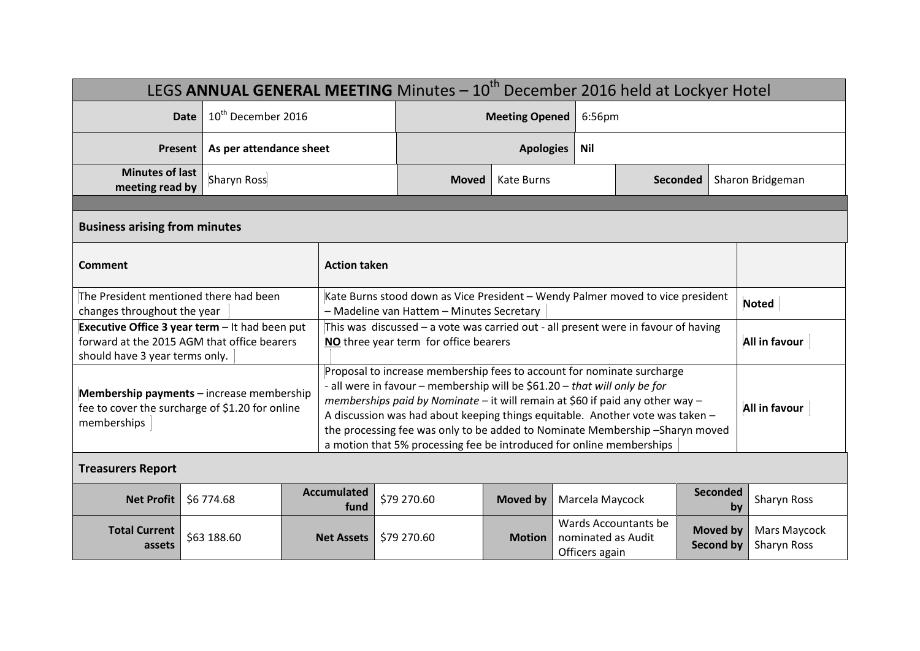| LEGS ANNUAL GENERAL MEETING Minutes - 10 <sup>th</sup> December 2016 held at Lockyer Hotel                                      |             |                                |                                                                                                                                                                                                                                                                                                                                                                                                                                                                              |             |                                |                                                              |        |                                     |                             |  |
|---------------------------------------------------------------------------------------------------------------------------------|-------------|--------------------------------|------------------------------------------------------------------------------------------------------------------------------------------------------------------------------------------------------------------------------------------------------------------------------------------------------------------------------------------------------------------------------------------------------------------------------------------------------------------------------|-------------|--------------------------------|--------------------------------------------------------------|--------|-------------------------------------|-----------------------------|--|
|                                                                                                                                 | <b>Date</b> | 10 <sup>th</sup> December 2016 |                                                                                                                                                                                                                                                                                                                                                                                                                                                                              |             | <b>Meeting Opened</b>          |                                                              | 6:56pm |                                     |                             |  |
| <b>Present</b>                                                                                                                  |             | As per attendance sheet        |                                                                                                                                                                                                                                                                                                                                                                                                                                                                              |             | <b>Apologies</b><br><b>Nil</b> |                                                              |        |                                     |                             |  |
| <b>Minutes of last</b><br>meeting read by                                                                                       | Sharyn Ross |                                |                                                                                                                                                                                                                                                                                                                                                                                                                                                                              |             | <b>Kate Burns</b>              | <b>Seconded</b>                                              |        |                                     | Sharon Bridgeman            |  |
|                                                                                                                                 |             |                                |                                                                                                                                                                                                                                                                                                                                                                                                                                                                              |             |                                |                                                              |        |                                     |                             |  |
| <b>Business arising from minutes</b>                                                                                            |             |                                |                                                                                                                                                                                                                                                                                                                                                                                                                                                                              |             |                                |                                                              |        |                                     |                             |  |
| <b>Comment</b>                                                                                                                  |             |                                | <b>Action taken</b>                                                                                                                                                                                                                                                                                                                                                                                                                                                          |             |                                |                                                              |        |                                     |                             |  |
| The President mentioned there had been<br>changes throughout the year                                                           |             |                                | Kate Burns stood down as Vice President - Wendy Palmer moved to vice president<br>- Madeline van Hattem - Minutes Secretary                                                                                                                                                                                                                                                                                                                                                  |             |                                |                                                              |        |                                     | <b>Noted</b>                |  |
| Executive Office 3 year term - It had been put<br>forward at the 2015 AGM that office bearers<br>should have 3 year terms only. |             |                                | This was discussed $-$ a vote was carried out - all present were in favour of having<br>NO three year term for office bearers                                                                                                                                                                                                                                                                                                                                                |             |                                |                                                              |        |                                     | All in favour               |  |
| Membership payments - increase membership<br>fee to cover the surcharge of \$1.20 for online<br>memberships                     |             |                                | Proposal to increase membership fees to account for nominate surcharge<br>- all were in favour - membership will be \$61.20 - that will only be for<br>memberships paid by Nominate - it will remain at \$60 if paid any other way -<br>A discussion was had about keeping things equitable. Another vote was taken -<br>the processing fee was only to be added to Nominate Membership-Sharyn moved<br>a motion that 5% processing fee be introduced for online memberships |             |                                |                                                              |        |                                     | All in favour               |  |
| <b>Treasurers Report</b>                                                                                                        |             |                                |                                                                                                                                                                                                                                                                                                                                                                                                                                                                              |             |                                |                                                              |        |                                     |                             |  |
| <b>Net Profit</b>                                                                                                               | \$6 774.68  |                                | <b>Accumulated</b><br>fund                                                                                                                                                                                                                                                                                                                                                                                                                                                   | \$79 270.60 | <b>Moved by</b>                | Marcela Maycock                                              |        | Seconded<br>by                      | Sharyn Ross                 |  |
| <b>Total Current</b><br>assets                                                                                                  | \$63 188.60 |                                | <b>Net Assets</b>                                                                                                                                                                                                                                                                                                                                                                                                                                                            | \$79 270.60 | <b>Motion</b>                  | Wards Accountants be<br>nominated as Audit<br>Officers again |        | <b>Moved by</b><br><b>Second by</b> | Mars Maycock<br>Sharyn Ross |  |